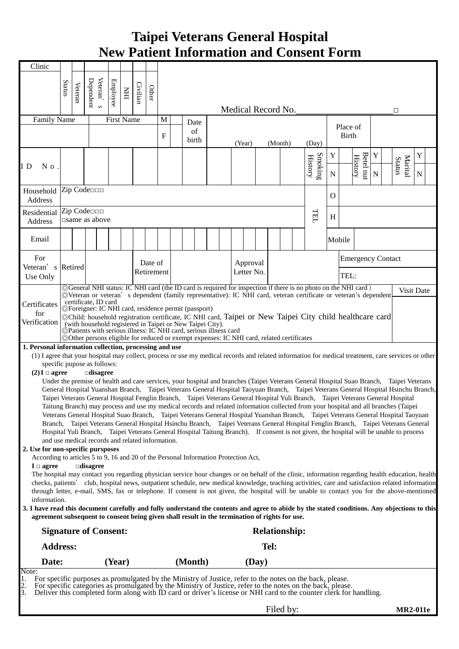## **Taipei Veterans General Hospital New Patient Information and Consent Form**

| Clinic                                                                                                                                                                                                                                                                    |                                                                                                                                                                                                                                                                                                       |                                                                                 |                         |        |   |  |            |                      |  |                                                                                                                                                                                                                                                                                 |  |  |                    |       |         |          |                                     |              |                          |                                      |             |  |                   |             |  |
|---------------------------------------------------------------------------------------------------------------------------------------------------------------------------------------------------------------------------------------------------------------------------|-------------------------------------------------------------------------------------------------------------------------------------------------------------------------------------------------------------------------------------------------------------------------------------------------------|---------------------------------------------------------------------------------|-------------------------|--------|---|--|------------|----------------------|--|---------------------------------------------------------------------------------------------------------------------------------------------------------------------------------------------------------------------------------------------------------------------------------|--|--|--------------------|-------|---------|----------|-------------------------------------|--------------|--------------------------|--------------------------------------|-------------|--|-------------------|-------------|--|
|                                                                                                                                                                                                                                                                           | Status                                                                                                                                                                                                                                                                                                |                                                                                 | Veteran'                |        |   |  |            |                      |  |                                                                                                                                                                                                                                                                                 |  |  |                    |       |         |          |                                     |              |                          |                                      |             |  |                   |             |  |
|                                                                                                                                                                                                                                                                           |                                                                                                                                                                                                                                                                                                       | Dependent<br>Employee<br>Civilian<br>Veteran<br>Other<br>$\overline{\text{HH}}$ |                         |        |   |  |            |                      |  |                                                                                                                                                                                                                                                                                 |  |  |                    |       |         |          |                                     |              |                          |                                      |             |  |                   |             |  |
|                                                                                                                                                                                                                                                                           |                                                                                                                                                                                                                                                                                                       |                                                                                 | $\infty$                |        |   |  |            |                      |  |                                                                                                                                                                                                                                                                                 |  |  | Medical Record No. |       |         |          |                                     |              |                          |                                      |             |  | □                 |             |  |
| Family Name<br><b>First Name</b>                                                                                                                                                                                                                                          |                                                                                                                                                                                                                                                                                                       |                                                                                 |                         |        | M |  | Date       |                      |  |                                                                                                                                                                                                                                                                                 |  |  |                    |       |         | Place of |                                     |              |                          |                                      |             |  |                   |             |  |
|                                                                                                                                                                                                                                                                           |                                                                                                                                                                                                                                                                                                       |                                                                                 |                         |        |   |  |            | $\mathbf F$          |  | of<br>birth                                                                                                                                                                                                                                                                     |  |  |                    |       |         |          |                                     | <b>Birth</b> |                          |                                      |             |  |                   |             |  |
|                                                                                                                                                                                                                                                                           |                                                                                                                                                                                                                                                                                                       |                                                                                 |                         |        |   |  |            |                      |  |                                                                                                                                                                                                                                                                                 |  |  | (Year)             |       | (Month) |          | (Day)                               |              |                          |                                      |             |  |                   |             |  |
|                                                                                                                                                                                                                                                                           |                                                                                                                                                                                                                                                                                                       |                                                                                 |                         |        |   |  |            |                      |  |                                                                                                                                                                                                                                                                                 |  |  |                    |       |         |          |                                     | Y            |                          |                                      | Y           |  |                   | Y           |  |
| I D<br>N o                                                                                                                                                                                                                                                                |                                                                                                                                                                                                                                                                                                       |                                                                                 |                         |        |   |  |            |                      |  |                                                                                                                                                                                                                                                                                 |  |  |                    |       |         |          | Smoking<br>$\operatorname{History}$ | ${\bf N}$    |                          | Betel nu<br>$\operatorname{History}$ | $\mathbf N$ |  | Marital<br>Status | $\mathbf N$ |  |
|                                                                                                                                                                                                                                                                           |                                                                                                                                                                                                                                                                                                       |                                                                                 |                         |        |   |  |            |                      |  |                                                                                                                                                                                                                                                                                 |  |  |                    |       |         |          |                                     |              |                          |                                      |             |  |                   |             |  |
| Zip Code<br>Household<br>$\mathbf{O}$<br>Address                                                                                                                                                                                                                          |                                                                                                                                                                                                                                                                                                       |                                                                                 |                         |        |   |  |            |                      |  |                                                                                                                                                                                                                                                                                 |  |  |                    |       |         |          |                                     |              |                          |                                      |             |  |                   |             |  |
| Residential                                                                                                                                                                                                                                                               | Zip Code                                                                                                                                                                                                                                                                                              |                                                                                 |                         |        |   |  |            |                      |  |                                                                                                                                                                                                                                                                                 |  |  |                    |       |         |          |                                     |              |                          |                                      |             |  |                   |             |  |
| Address                                                                                                                                                                                                                                                                   |                                                                                                                                                                                                                                                                                                       |                                                                                 | $\square$ same as above |        |   |  |            |                      |  |                                                                                                                                                                                                                                                                                 |  |  |                    |       |         |          | <b>TELT</b>                         | H            |                          |                                      |             |  |                   |             |  |
| Email                                                                                                                                                                                                                                                                     |                                                                                                                                                                                                                                                                                                       |                                                                                 |                         |        |   |  |            |                      |  |                                                                                                                                                                                                                                                                                 |  |  |                    |       |         |          |                                     | Mobile       |                          |                                      |             |  |                   |             |  |
|                                                                                                                                                                                                                                                                           |                                                                                                                                                                                                                                                                                                       |                                                                                 |                         |        |   |  |            |                      |  |                                                                                                                                                                                                                                                                                 |  |  |                    |       |         |          |                                     |              |                          |                                      |             |  |                   |             |  |
| For                                                                                                                                                                                                                                                                       |                                                                                                                                                                                                                                                                                                       |                                                                                 |                         |        |   |  | Date of    |                      |  |                                                                                                                                                                                                                                                                                 |  |  | Approval           |       |         |          |                                     |              | <b>Emergency Contact</b> |                                      |             |  |                   |             |  |
| Veteran's<br>Use Only                                                                                                                                                                                                                                                     | Retired                                                                                                                                                                                                                                                                                               |                                                                                 |                         |        |   |  | Retirement |                      |  |                                                                                                                                                                                                                                                                                 |  |  | Letter No.         |       |         |          |                                     |              | TEL:                     |                                      |             |  |                   |             |  |
|                                                                                                                                                                                                                                                                           |                                                                                                                                                                                                                                                                                                       |                                                                                 |                         |        |   |  |            |                      |  |                                                                                                                                                                                                                                                                                 |  |  |                    |       |         |          |                                     |              |                          |                                      |             |  |                   |             |  |
| ©General NHI status: IC NHI card (the ID card is required for inspection if there is no photo on the NHI card)<br>Visit Date<br>© Veteran or veteran's dependent (family representative): IC NHI card, veteran certificate or veteran's dependent<br>certificate, ID card |                                                                                                                                                                                                                                                                                                       |                                                                                 |                         |        |   |  |            |                      |  |                                                                                                                                                                                                                                                                                 |  |  |                    |       |         |          |                                     |              |                          |                                      |             |  |                   |             |  |
| Certificates<br>for                                                                                                                                                                                                                                                       |                                                                                                                                                                                                                                                                                                       |                                                                                 |                         |        |   |  |            |                      |  | ©Foreigner: IC NHI card, residence permit (passport)                                                                                                                                                                                                                            |  |  |                    |       |         |          |                                     |              |                          |                                      |             |  |                   |             |  |
| Verification                                                                                                                                                                                                                                                              |                                                                                                                                                                                                                                                                                                       |                                                                                 |                         |        |   |  |            |                      |  | ©Child: household registration certificate, IC NHI card, Taipei or New Taipei City child healthcare card                                                                                                                                                                        |  |  |                    |       |         |          |                                     |              |                          |                                      |             |  |                   |             |  |
|                                                                                                                                                                                                                                                                           | (with household registered in Taipei or New Taipei City).<br>©Patients with serious illness: IC NHI card, serious illness card<br>©Other persons eligible for reduced or exempt expenses: IC NHI card, related certificates                                                                           |                                                                                 |                         |        |   |  |            |                      |  |                                                                                                                                                                                                                                                                                 |  |  |                    |       |         |          |                                     |              |                          |                                      |             |  |                   |             |  |
| 1. Personal information collection, processing and use                                                                                                                                                                                                                    |                                                                                                                                                                                                                                                                                                       |                                                                                 |                         |        |   |  |            |                      |  |                                                                                                                                                                                                                                                                                 |  |  |                    |       |         |          |                                     |              |                          |                                      |             |  |                   |             |  |
| (1) I agree that your hospital may collect, process or use my medical records and related information for medical treatment, care services or other<br>specific pupose as follows:                                                                                        |                                                                                                                                                                                                                                                                                                       |                                                                                 |                         |        |   |  |            |                      |  |                                                                                                                                                                                                                                                                                 |  |  |                    |       |         |          |                                     |              |                          |                                      |             |  |                   |             |  |
| $(2) I \Box$ agree                                                                                                                                                                                                                                                        |                                                                                                                                                                                                                                                                                                       |                                                                                 | $\Box$ disagree         |        |   |  |            |                      |  |                                                                                                                                                                                                                                                                                 |  |  |                    |       |         |          |                                     |              |                          |                                      |             |  |                   |             |  |
|                                                                                                                                                                                                                                                                           |                                                                                                                                                                                                                                                                                                       |                                                                                 |                         |        |   |  |            |                      |  | Under the premise of health and care services, your hospital and branches (Taipei Veterans General Hospital Suao Branch, Taipei Veterans<br>General Hospital Yuanshan Branch, Taipei Veterans General Hospital Taoyuan Branch, Taipei Veterans General Hospital Hsinchu Branch, |  |  |                    |       |         |          |                                     |              |                          |                                      |             |  |                   |             |  |
|                                                                                                                                                                                                                                                                           |                                                                                                                                                                                                                                                                                                       |                                                                                 |                         |        |   |  |            |                      |  | Taipei Veterans General Hospital Fenglin Branch, Taipei Veterans General Hospital Yuli Branch, Taipei Veterans General Hospital                                                                                                                                                 |  |  |                    |       |         |          |                                     |              |                          |                                      |             |  |                   |             |  |
|                                                                                                                                                                                                                                                                           |                                                                                                                                                                                                                                                                                                       |                                                                                 |                         |        |   |  |            |                      |  | Taitung Branch) may process and use my medical records and related information collected from your hospital and all branches (Taipei                                                                                                                                            |  |  |                    |       |         |          |                                     |              |                          |                                      |             |  |                   |             |  |
|                                                                                                                                                                                                                                                                           |                                                                                                                                                                                                                                                                                                       |                                                                                 |                         |        |   |  |            |                      |  | Veterans General Hospital Suao Branch, Taipei Veterans General Hospital Yuanshan Branch, Taipei Veterans General Hospital Taoyuan                                                                                                                                               |  |  |                    |       |         |          |                                     |              |                          |                                      |             |  |                   |             |  |
|                                                                                                                                                                                                                                                                           | Branch, Taipei Veterans General Hospital Hsinchu Branch, Taipei Veterans General Hospital Fenglin Branch, Taipei Veterans General<br>Hospital Yuli Branch, Taipei Veterans General Hospital Taitung Branch). If consent is not given, the hospital will be unable to process                          |                                                                                 |                         |        |   |  |            |                      |  |                                                                                                                                                                                                                                                                                 |  |  |                    |       |         |          |                                     |              |                          |                                      |             |  |                   |             |  |
| and use medical records and related information.<br>2. Use for non-specific pursposes                                                                                                                                                                                     |                                                                                                                                                                                                                                                                                                       |                                                                                 |                         |        |   |  |            |                      |  |                                                                                                                                                                                                                                                                                 |  |  |                    |       |         |          |                                     |              |                          |                                      |             |  |                   |             |  |
| According to articles 5 to 9, 16 and 20 of the Personal Information Protection Act,                                                                                                                                                                                       |                                                                                                                                                                                                                                                                                                       |                                                                                 |                         |        |   |  |            |                      |  |                                                                                                                                                                                                                                                                                 |  |  |                    |       |         |          |                                     |              |                          |                                      |             |  |                   |             |  |
| $I \Box$ agree                                                                                                                                                                                                                                                            |                                                                                                                                                                                                                                                                                                       |                                                                                 | $\Box$ disagree         |        |   |  |            |                      |  |                                                                                                                                                                                                                                                                                 |  |  |                    |       |         |          |                                     |              |                          |                                      |             |  |                   |             |  |
|                                                                                                                                                                                                                                                                           | The hospital may contact you regarding physician service hour changes or on behalf of the clinic, information regarding health education, health<br>checks, patients' club, hospital news, outpatient schedule, new medical knowledge, teaching activities, care and satisfaction related information |                                                                                 |                         |        |   |  |            |                      |  |                                                                                                                                                                                                                                                                                 |  |  |                    |       |         |          |                                     |              |                          |                                      |             |  |                   |             |  |
| through letter, e-mail, SMS, fax or telephone. If consent is not given, the hospital will be unable to contact you for the above-mentioned<br>information.                                                                                                                |                                                                                                                                                                                                                                                                                                       |                                                                                 |                         |        |   |  |            |                      |  |                                                                                                                                                                                                                                                                                 |  |  |                    |       |         |          |                                     |              |                          |                                      |             |  |                   |             |  |
| 3. I have read this document carefully and fully understand the contents and agree to abide by the stated conditions. Any objections to this                                                                                                                              |                                                                                                                                                                                                                                                                                                       |                                                                                 |                         |        |   |  |            |                      |  |                                                                                                                                                                                                                                                                                 |  |  |                    |       |         |          |                                     |              |                          |                                      |             |  |                   |             |  |
| agreement subsequent to consent being given shall result in the termination of rights for use.                                                                                                                                                                            |                                                                                                                                                                                                                                                                                                       |                                                                                 |                         |        |   |  |            |                      |  |                                                                                                                                                                                                                                                                                 |  |  |                    |       |         |          |                                     |              |                          |                                      |             |  |                   |             |  |
| <b>Signature of Consent:</b>                                                                                                                                                                                                                                              |                                                                                                                                                                                                                                                                                                       |                                                                                 |                         |        |   |  |            | <b>Relationship:</b> |  |                                                                                                                                                                                                                                                                                 |  |  |                    |       |         |          |                                     |              |                          |                                      |             |  |                   |             |  |
| <b>Address:</b>                                                                                                                                                                                                                                                           |                                                                                                                                                                                                                                                                                                       |                                                                                 |                         |        |   |  | Tel:       |                      |  |                                                                                                                                                                                                                                                                                 |  |  |                    |       |         |          |                                     |              |                          |                                      |             |  |                   |             |  |
| Date:                                                                                                                                                                                                                                                                     |                                                                                                                                                                                                                                                                                                       |                                                                                 |                         | (Year) |   |  |            |                      |  | (Month)                                                                                                                                                                                                                                                                         |  |  |                    | (Day) |         |          |                                     |              |                          |                                      |             |  |                   |             |  |
| Note:<br>For specific purposes as promulgated by the Ministry of Justice, refer to the notes on the back, please.                                                                                                                                                         |                                                                                                                                                                                                                                                                                                       |                                                                                 |                         |        |   |  |            |                      |  |                                                                                                                                                                                                                                                                                 |  |  |                    |       |         |          |                                     |              |                          |                                      |             |  |                   |             |  |
| For specific categories as promulgated by the Ministry of Justice, refer to the notes on the back, please.                                                                                                                                                                |                                                                                                                                                                                                                                                                                                       |                                                                                 |                         |        |   |  |            |                      |  |                                                                                                                                                                                                                                                                                 |  |  |                    |       |         |          |                                     |              |                          |                                      |             |  |                   |             |  |
| Deliver this completed form along with ID card or driver's license or NHI card to the counter clerk for handling.<br>3.                                                                                                                                                   |                                                                                                                                                                                                                                                                                                       |                                                                                 |                         |        |   |  |            |                      |  |                                                                                                                                                                                                                                                                                 |  |  |                    |       |         |          |                                     |              |                          |                                      |             |  |                   |             |  |

Filed by: **MR2-011e**